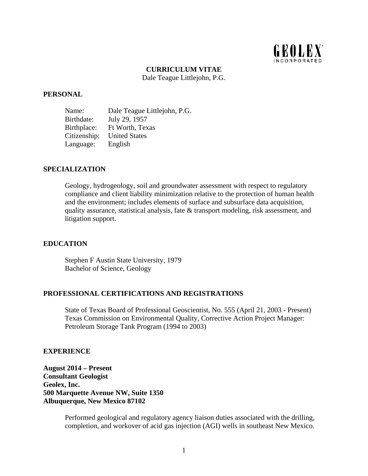

## **CURRICULUM VITAE**

Dale Teague Littlejohn, P.G.

#### **PERSONAL**

Name: Dale Teague Littlejohn, P.G. Birthdate: July 29, 1957 Birthplace: Ft Worth, Texas Citizenship: United States Language: English

## **SPECIALIZATION**

Geology, hydrogeology, soil and groundwater assessment with respect to regulatory compliance and client liability minimization relative to the protection of human health and the environment; includes elements of surface and subsurface data acquisition, quality assurance, statistical analysis, fate & transport modeling, risk assessment, and litigation support.

## **EDUCATION**

Stephen F Austin State University, 1979 Bachelor of Science, Geology

#### **PROFESSIONAL CERTIFICATIONS AND REGISTRATIONS**

State of Texas Board of Professional Geoscientist, No. 555 (April 21, 2003 - Present) Texas Commission on Environmental Quality, Corrective Action Project Manager: Petroleum Storage Tank Program (1994 to 2003)

#### **EXPERIENCE**

**August 2014 – Present Consultant Geologist Geolex, Inc. 500 Marquette Avenue NW, Suite 1350 Albuquerque, New Mexico 87102** 

> Performed geological and regulatory agency liaison duties associated with the drilling, completion, and workover of acid gas injection (AGI) wells in southeast New Mexico.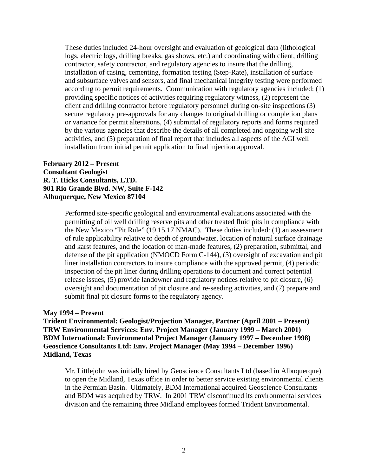These duties included 24-hour oversight and evaluation of geological data (lithological logs, electric logs, drilling breaks, gas shows, etc.) and coordinating with client, drilling contractor, safety contractor, and regulatory agencies to insure that the drilling, installation of casing, cementing, formation testing (Step-Rate), installation of surface and subsurface valves and sensors, and final mechanical integrity testing were performed according to permit requirements. Communication with regulatory agencies included: (1) providing specific notices of activities requiring regulatory witness, (2) represent the client and drilling contractor before regulatory personnel during on-site inspections (3) secure regulatory pre-approvals for any changes to original drilling or completion plans or variance for permit alterations, (4) submittal of regulatory reports and forms required by the various agencies that describe the details of all completed and ongoing well site activities, and (5) preparation of final report that includes all aspects of the AGI well installation from initial permit application to final injection approval.

## **February 2012 – Present Consultant Geologist R. T. Hicks Consultants, LTD. 901 Rio Grande Blvd. NW, Suite F-142 Albuquerque, New Mexico 87104**

Performed site-specific geological and environmental evaluations associated with the permitting of oil well drilling reserve pits and other treated fluid pits in compliance with the New Mexico "Pit Rule" (19.15.17 NMAC). These duties included: (1) an assessment of rule applicability relative to depth of groundwater, location of natural surface drainage and karst features, and the location of man-made features, (2) preparation, submittal, and defense of the pit application (NMOCD Form C-144), (3) oversight of excavation and pit liner installation contractors to insure compliance with the approved permit, (4) periodic inspection of the pit liner during drilling operations to document and correct potential release issues, (5) provide landowner and regulatory notices relative to pit closure, (6) oversight and documentation of pit closure and re-seeding activities, and (7) prepare and submit final pit closure forms to the regulatory agency.

## **May 1994 – Present**

**Trident Environmental: Geologist/Projection Manager, Partner (April 2001 – Present) TRW Environmental Services: Env. Project Manager (January 1999 – March 2001) BDM International: Environmental Project Manager (January 1997 – December 1998) Geoscience Consultants Ltd: Env. Project Manager (May 1994 – December 1996) Midland, Texas** 

Mr. Littlejohn was initially hired by Geoscience Consultants Ltd (based in Albuquerque) to open the Midland, Texas office in order to better service existing environmental clients in the Permian Basin. Ultimately, BDM International acquired Geoscience Consultants and BDM was acquired by TRW. In 2001 TRW discontinued its environmental services division and the remaining three Midland employees formed Trident Environmental.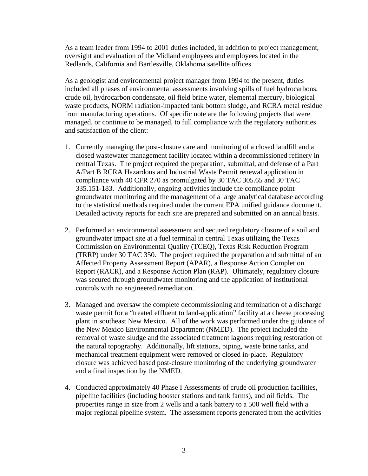As a team leader from 1994 to 2001 duties included, in addition to project management, oversight and evaluation of the Midland employees and employees located in the Redlands, California and Bartlesville, Oklahoma satellite offices.

As a geologist and environmental project manager from 1994 to the present, duties included all phases of environmental assessments involving spills of fuel hydrocarbons, crude oil, hydrocarbon condensate, oil field brine water, elemental mercury, biological waste products, NORM radiation-impacted tank bottom sludge, and RCRA metal residue from manufacturing operations. Of specific note are the following projects that were managed, or continue to be managed, to full compliance with the regulatory authorities and satisfaction of the client:

- 1. Currently managing the post-closure care and monitoring of a closed landfill and a closed wastewater management facility located within a decommissioned refinery in central Texas. The project required the preparation, submittal, and defense of a Part A/Part B RCRA Hazardous and Industrial Waste Permit renewal application in compliance with 40 CFR 270 as promulgated by 30 TAC 305.65 and 30 TAC 335.151-183. Additionally, ongoing activities include the compliance point groundwater monitoring and the management of a large analytical database according to the statistical methods required under the current EPA unified guidance document. Detailed activity reports for each site are prepared and submitted on an annual basis.
- 2. Performed an environmental assessment and secured regulatory closure of a soil and groundwater impact site at a fuel terminal in central Texas utilizing the Texas Commission on Environmental Quality (TCEQ), Texas Risk Reduction Program (TRRP) under 30 TAC 350. The project required the preparation and submittal of an Affected Property Assessment Report (APAR), a Response Action Completion Report (RACR), and a Response Action Plan (RAP). Ultimately, regulatory closure was secured through groundwater monitoring and the application of institutional controls with no engineered remediation.
- 3. Managed and oversaw the complete decommissioning and termination of a discharge waste permit for a "treated effluent to land-application" facility at a cheese processing plant in southeast New Mexico. All of the work was performed under the guidance of the New Mexico Environmental Department (NMED). The project included the removal of waste sludge and the associated treatment lagoons requiring restoration of the natural topography. Additionally, lift stations, piping, waste brine tanks, and mechanical treatment equipment were removed or closed in-place. Regulatory closure was achieved based post-closure monitoring of the underlying groundwater and a final inspection by the NMED.
- 4. Conducted approximately 40 Phase I Assessments of crude oil production facilities, pipeline facilities (including booster stations and tank farms), and oil fields. The properties range in size from 2 wells and a tank battery to a 500 well field with a major regional pipeline system. The assessment reports generated from the activities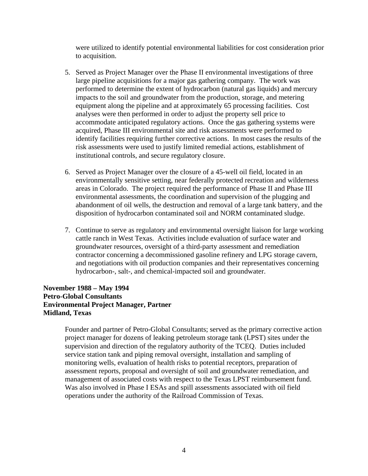were utilized to identify potential environmental liabilities for cost consideration prior to acquisition.

- 5. Served as Project Manager over the Phase II environmental investigations of three large pipeline acquisitions for a major gas gathering company. The work was performed to determine the extent of hydrocarbon (natural gas liquids) and mercury impacts to the soil and groundwater from the production, storage, and metering equipment along the pipeline and at approximately 65 processing facilities. Cost analyses were then performed in order to adjust the property sell price to accommodate anticipated regulatory actions. Once the gas gathering systems were acquired, Phase III environmental site and risk assessments were performed to identify facilities requiring further corrective actions. In most cases the results of the risk assessments were used to justify limited remedial actions, establishment of institutional controls, and secure regulatory closure.
- 6. Served as Project Manager over the closure of a 45-well oil field, located in an environmentally sensitive setting, near federally protected recreation and wilderness areas in Colorado. The project required the performance of Phase II and Phase III environmental assessments, the coordination and supervision of the plugging and abandonment of oil wells, the destruction and removal of a large tank battery, and the disposition of hydrocarbon contaminated soil and NORM contaminated sludge.
- 7. Continue to serve as regulatory and environmental oversight liaison for large working cattle ranch in West Texas. Activities include evaluation of surface water and groundwater resources, oversight of a third-party assessment and remediation contractor concerning a decommissioned gasoline refinery and LPG storage cavern, and negotiations with oil production companies and their representatives concerning hydrocarbon-, salt-, and chemical-impacted soil and groundwater.

# **November 1988 – May 1994 Petro-Global Consultants Environmental Project Manager, Partner Midland, Texas**

Founder and partner of Petro-Global Consultants; served as the primary corrective action project manager for dozens of leaking petroleum storage tank (LPST) sites under the supervision and direction of the regulatory authority of the TCEQ. Duties included service station tank and piping removal oversight, installation and sampling of monitoring wells, evaluation of health risks to potential receptors, preparation of assessment reports, proposal and oversight of soil and groundwater remediation, and management of associated costs with respect to the Texas LPST reimbursement fund. Was also involved in Phase I ESAs and spill assessments associated with oil field operations under the authority of the Railroad Commission of Texas.